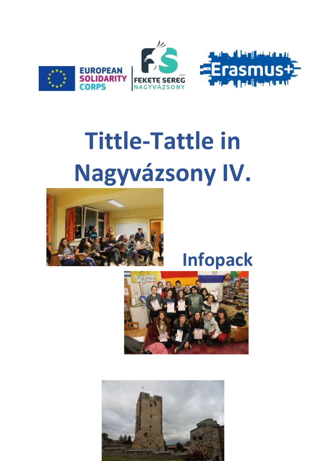

# **Tittle-Tattle in** Nagyvázsony IV.



# Infopack



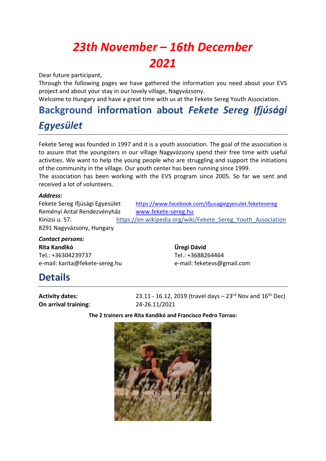## *23th November – 16th December 2021*

Dear future participant,

Through the following pages we have gathered the information you need about your EVS project and about your stay in our lovely village, Nagyvázsony.

Welcome to Hungary and have a great time with us at the Fekete Sereg Youth Association.

### **Background information about** *Fekete Sereg Ifjúsági Egyesület*

Fekete Sereg was founded in 1997 and it is a youth association. The goal of the association is to assure that the youngsters in our village Nagyvázsony spend their free time with useful activities. We want to help the young people who are struggling and support the initiations of the community in the village. Our youth center has been running since 1999.

The association has been working with the EVS program since 2005. So far we sent and received a lot of volunteers.

#### *Address:*

Reményi Antal Rendezvényház [www.fekete-sereg.hu](file:///C:/Users/KARITA/AppData/Local/Microsoft/Windows/Temporary%20Internet%20Files/Content.Outlook/ZRRJ2MWP/www.fekete-sereg.hu) 8291 Nagyvázsony, Hungary

Fekete Sereg Ifjúsági Egyesület <https://www.facebook.com/ifjusagiegyesulet.feketesereg> Kinizsi u. 57. https://en.wikipedia.org/wiki/Fekete\_Sereg\_Youth\_Association

*Contact persons:* **Rita Kandikó Üregi Dávid** Tel.: +36304239737 Tel.: +3688264464

e-mail: karita@fekete-sereg.hu e-mail: feketevs@gmail.com

#### **Details**

**On arrival training:** 24-26.11/2021

**Activity dates:** 23.11 - 16.12, 2019 (travel days – 23<sup>rd</sup> Nov and 16<sup>th</sup> Dec)

**The 2 trainers are Rita Kandikó and Francisco Pedro Torrao:**

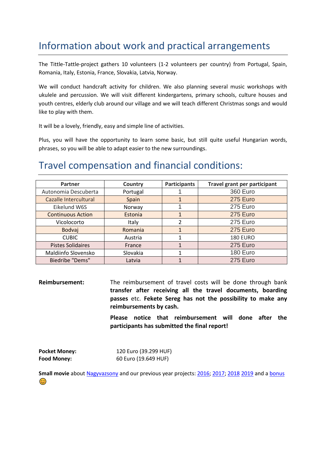#### Information about work and practical arrangements

The Tittle-Tattle-project gathers 10 volunteers (1-2 volunteers per country) from Portugal, Spain, Romania, Italy, Estonia, France, Slovakia, Latvia, Norway.

We will conduct handcraft activity for children. We also planning several music workshops with ukulele and percussion. We will visit different kindergartens, primary schools, culture houses and youth centres, elderly club around our village and we will teach different Christmas songs and would like to play with them.

It will be a lovely, friendly, easy and simple line of activities.

Plus, you will have the opportunity to learn some basic, but still quite useful Hungarian words, phrases, so you will be able to adapt easier to the new surroundings.

#### Travel compensation and financial conditions:

| Partner                  | Country  | <b>Participants</b> | <b>Travel grant per participant</b> |
|--------------------------|----------|---------------------|-------------------------------------|
| Autonomia Descuberta     | Portugal |                     | <b>360 Euro</b>                     |
| Cazalle Intercultural    | Spain    |                     | 275 Euro                            |
| Eikelund W6S             | Norway   |                     | 275 Euro                            |
| <b>Continuous Action</b> | Estonia  | 1                   | 275 Euro                            |
| Vicolocorto              | Italy    | າ                   | 275 Euro                            |
| Bodvaj                   | Romania  |                     | 275 Euro                            |
| <b>CUBIC</b>             | Austria  |                     | <b>180 EURO</b>                     |
| <b>Pistes Solidaires</b> | France   |                     | 275 Euro                            |
| Maldiinfo Slovensko      | Slovakia |                     | 180 Euro                            |
| Biedribe "Dems"          | Latvia   |                     | 275 Euro                            |

**Reimbursement:** The reimbursement of travel costs will be done through bank **transfer after receiving all the travel documents, boarding passes** etc. **Fekete Sereg has not the possibility to make any reimbursements by cash.**

> **Please notice that reimbursement will done after the participants has submitted the final report!**

| <b>Pocket Money:</b> | 120 Euro (39.299 HUF) |
|----------------------|-----------------------|
| <b>Food Money:</b>   | 60 Euro (19.649 HUF)  |

Small movie about [Nagyvazsony](https://www.youtube.com/watch?v=lYuZxDhqiYU) and our previous year projects: [2016; 2017;](https://www.youtube.com/watch?v=u0k-y9KMxIM) [2018](https://www.youtube.com/watch?v=BqQpPVvyInk) [2019](https://www.youtube.com/watch?v=7lxgGaKXZNg&t=4s) and [a bonus](https://www.youtube.com/watch?v=vRM5bpWYKrc)  $\odot$